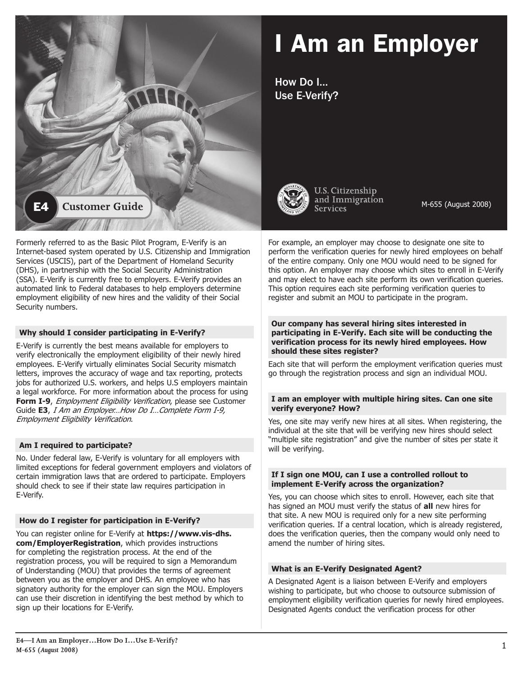

# I Am an Employer

How Do I… Use E-Verify?



U.S. Citizenship and Immigration **Services** 

M-655 (August 2008)

Formerly referred to as the Basic Pilot Program, E-Verify is an Internet-based system operated by U.S. Citizenship and Immigration Services (USCIS), part of the Department of Homeland Security (DHS), in partnership with the Social Security Administration (SSA). E-Verify is currently free to employers. E-Verify provides an automated link to Federal databases to help employers determine employment eligibility of new hires and the validity of their Social Security numbers.

# **Why should I consider participating in E-Verify?**

E-Verify is currently the best means available for employers to verify electronically the employment eligibility of their newly hired employees. E-Verify virtually eliminates Social Security mismatch letters, improves the accuracy of wage and tax reporting, protects jobs for authorized U.S. workers, and helps U.S employers maintain a legal workforce. For more information about the process for using **Form I-9.** *Employment Eligibility Verification*, please see Customer Guide **E3**, I Am an Employer…How Do I…Complete Form I-9, Employment Eligibility Verification.

# **Am I required to participate?**

No. Under federal law, E-Verify is voluntary for all employers with limited exceptions for federal government employers and violators of certain immigration laws that are ordered to participate. Employers should check to see if their state law requires participation in E-Verify.

# **How do I register for participation in E-Verify?**

You can register online for E-Verify at **https://www.vis-dhs. com/EmployerRegistration**, which provides instructions for completing the registration process. At the end of the registration process, you will be required to sign a Memorandum of Understanding (MOU) that provides the terms of agreement between you as the employer and DHS. An employee who has signatory authority for the employer can sign the MOU. Employers can use their discretion in identifying the best method by which to sign up their locations for E-Verify.

For example, an employer may choose to designate one site to perform the verification queries for newly hired employees on behalf of the entire company. Only one MOU would need to be signed for this option. An employer may choose which sites to enroll in E-Verify and may elect to have each site perform its own verification queries. This option requires each site performing verification queries to register and submit an MOU to participate in the program.

#### **Our company has several hiring sites interested in participating in E-Verify. Each site will be conducting the verification process for its newly hired employees. How should these sites register?**

Each site that will perform the employment verification queries must go through the registration process and sign an individual MOU.

# **I am an employer with multiple hiring sites. Can one site verify everyone? How?**

Yes, one site may verify new hires at all sites. When registering, the individual at the site that will be verifying new hires should select "multiple site registration" and give the number of sites per state it will be verifying.

#### **If I sign one MOU, can I use a controlled rollout to implement E-Verify across the organization?**

Yes, you can choose which sites to enroll. However, each site that has signed an MOU must verify the status of **all** new hires for that site. A new MOU is required only for a new site performing verification queries. If a central location, which is already registered, does the verification queries, then the company would only need to amend the number of hiring sites.

# **What is an E-Verify Designated Agent?**

A Designated Agent is a liaison between E-Verify and employers wishing to participate, but who choose to outsource submission of employment eligibility verification queries for newly hired employees. Designated Agents conduct the verification process for other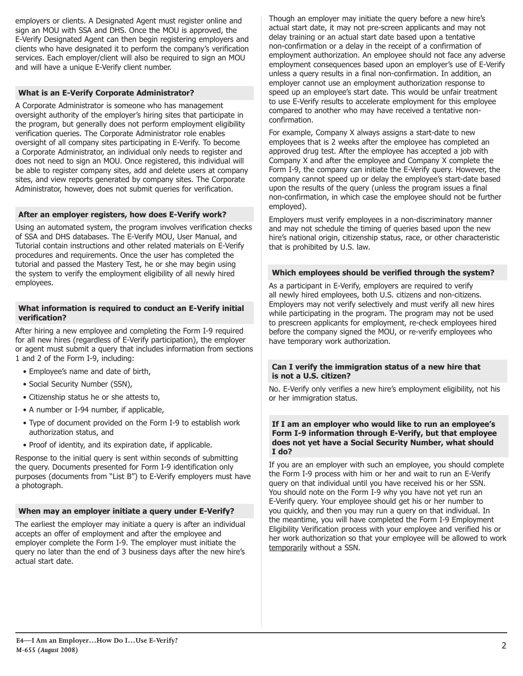employers or clients. A Designated Agent must register online and sign an MOU with SSA and DHS. Once the MOU is approved, the E-Verify Designated Agent can then begin registering employers and clients who have designated it to perform the company's verification services. Each employer/client will also be required to sign an MOU and will have a unique E-Verify client number.

# **What is an E-Verify Corporate Administrator?**

A Corporate Administrator is someone who has management oversight authority of the employer's hiring sites that participate in the program, but generally does not perform employment eligibility verification queries. The Corporate Administrator role enables oversight of all company sites participating in E-Verify. To become a Corporate Administrator, an individual only needs to register and does not need to sign an MOU. Once registered, this individual will be able to register company sites, add and delete users at company sites, and view reports generated by company sites. The Corporate Administrator, however, does not submit queries for verification.

# **After an employer registers, how does E-Verify work?**

Using an automated system, the program involves verification checks of SSA and DHS databases. The E-Verify MOU, User Manual, and Tutorial contain instructions and other related materials on E-Verify procedures and requirements. Once the user has completed the tutorial and passed the Mastery Test, he or she may begin using the system to verify the employment eligibility of all newly hired employees.

# **What information is required to conduct an E-Verify initial verification?**

After hiring a new employee and completing the Form I-9 required for all new hires (regardless of E-Verify participation), the employer or agent must submit a query that includes information from sections 1 and 2 of the Form I-9, including:

- Employee's name and date of birth,
- Social Security Number (SSN),
- Citizenship status he or she attests to,
- A number or I-94 number, if applicable,
- Type of document provided on the Form I-9 to establish work authorization status, and
- Proof of identity, and its expiration date, if applicable.

Response to the initial query is sent within seconds of submitting the query. Documents presented for Form I-9 identification only purposes (documents from "List B") to E-Verify employers must have a photograph.

# **When may an employer initiate a query under E-Verify?**

The earliest the employer may initiate a query is after an individual accepts an offer of employment and after the employee and employer complete the Form I-9. The employer must initiate the query no later than the end of 3 business days after the new hire's actual start date.

Though an employer may initiate the query before a new hire's actual start date, it may not pre-screen applicants and may not delay training or an actual start date based upon a tentative non-confirmation or a delay in the receipt of a confirmation of employment authorization. An employee should not face any adverse employment consequences based upon an employer's use of E-Verify unless a query results in a final non-confirmation. In addition, an employer cannot use an employment authorization response to speed up an employee's start date. This would be unfair treatment to use E-Verify results to accelerate employment for this employee compared to another who may have received a tentative nonconfirmation.

For example, Company X always assigns a start-date to new employees that is 2 weeks after the employee has completed an approved drug test. After the employee has accepted a job with Company X and after the employee and Company X complete the Form I-9, the company can initiate the E-Verify query. However, the company cannot speed up or delay the employee's start-date based upon the results of the query (unless the program issues a final non-confirmation, in which case the employee should not be further employed).

Employers must verify employees in a non-discriminatory manner and may not schedule the timing of queries based upon the new hire's national origin, citizenship status, race, or other characteristic that is prohibited by U.S. law.

#### **Which employees should be verified through the system?**

As a participant in E-Verify, employers are required to verify all newly hired employees, both U.S. citizens and non-citizens. Employers may not verify selectively and must verify all new hires while participating in the program. The program may not be used to prescreen applicants for employment, re-check employees hired before the company signed the MOU, or re-verify employees who have temporary work authorization.

#### **Can I verify the immigration status of a new hire that is not a U.S. citizen?**

No. E-Verify only verifies a new hire's employment eligibility, not his or her immigration status.

#### **If I am an employer who would like to run an employee's Form I-9 information through E-Verify, but that employee does not yet have a Social Security Number, what should I do?**

If you are an employer with such an employee, you should complete the Form I-9 process with him or her and wait to run an E-Verify query on that individual until you have received his or her SSN. You should note on the Form I-9 why you have not yet run an E-Verify query. Your employee should get his or her number to you quickly, and then you may run a query on that individual. In the meantime, you will have completed the Form I-9 Employment Eligibility Verification process with your employee and verified his or her work authorization so that your employee will be allowed to work temporarily without a SSN.